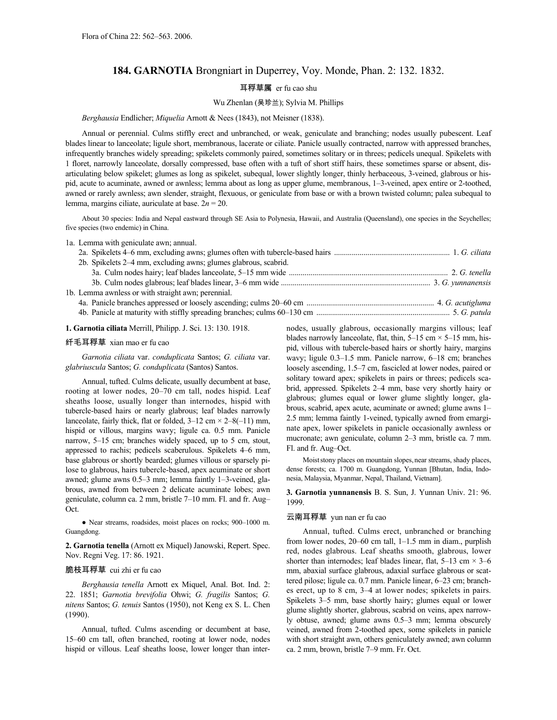# **184. GARNOTIA** Brongniart in Duperrey, Voy. Monde, Phan. 2: 132. 1832.

## 耳稃草属 er fu cao shu

#### Wu Zhenlan (吴珍兰); Sylvia M. Phillips

### *Berghausia* Endlicher; *Miquelia* Arnott & Nees (1843), not Meisner (1838).

Annual or perennial. Culms stiffly erect and unbranched, or weak, geniculate and branching; nodes usually pubescent. Leaf blades linear to lanceolate; ligule short, membranous, lacerate or ciliate. Panicle usually contracted, narrow with appressed branches, infrequently branches widely spreading; spikelets commonly paired, sometimes solitary or in threes; pedicels unequal. Spikelets with 1 floret, narrowly lanceolate, dorsally compressed, base often with a tuft of short stiff hairs, these sometimes sparse or absent, disarticulating below spikelet; glumes as long as spikelet, subequal, lower slightly longer, thinly herbaceous, 3-veined, glabrous or hispid, acute to acuminate, awned or awnless; lemma about as long as upper glume, membranous, 1–3-veined, apex entire or 2-toothed, awned or rarely awnless; awn slender, straight, flexuous, or geniculate from base or with a brown twisted column; palea subequal to lemma, margins ciliate, auriculate at base. 2*n* = 20.

About 30 species: India and Nepal eastward through SE Asia to Polynesia, Hawaii, and Australia (Queensland), one species in the Seychelles; five species (two endemic) in China.

|                                                    | 1a. Lemma with geniculate awn; annual.                          |  |
|----------------------------------------------------|-----------------------------------------------------------------|--|
|                                                    |                                                                 |  |
|                                                    | 2b. Spikelets 2–4 mm, excluding awns; glumes glabrous, scabrid. |  |
|                                                    |                                                                 |  |
|                                                    |                                                                 |  |
| 1b. Lemma awnless or with straight awn; perennial. |                                                                 |  |
|                                                    |                                                                 |  |
|                                                    |                                                                 |  |

**1. Garnotia ciliata** Merrill, Philipp. J. Sci. 13: 130. 1918.

## 纤毛耳稃草 xian mao er fu cao

*Garnotia ciliata* var. *conduplicata* Santos; *G. ciliata* var. *glabriuscula* Santos; *G. conduplicata* (Santos) Santos.

Annual, tufted. Culms delicate, usually decumbent at base, rooting at lower nodes, 20–70 cm tall, nodes hispid. Leaf sheaths loose, usually longer than internodes, hispid with tubercle-based hairs or nearly glabrous; leaf blades narrowly lanceolate, fairly thick, flat or folded,  $3-12$  cm  $\times$  2–8(-11) mm, hispid or villous, margins wavy; ligule ca. 0.5 mm. Panicle narrow, 5–15 cm; branches widely spaced, up to 5 cm, stout, appressed to rachis; pedicels scaberulous. Spikelets 4–6 mm, base glabrous or shortly bearded; glumes villous or sparsely pilose to glabrous, hairs tubercle-based, apex acuminate or short awned; glume awns 0.5–3 mm; lemma faintly 1–3-veined, glabrous, awned from between 2 delicate acuminate lobes; awn geniculate, column ca. 2 mm, bristle 7–10 mm. Fl. and fr. Aug– Oct.

● Near streams, roadsides, moist places on rocks; 900–1000 m. Guangdong.

**2. Garnotia tenella** (Arnott ex Miquel) Janowski, Repert. Spec. Nov. Regni Veg. 17: 86. 1921.

### 脆枝耳稃草 cui zhi er fu cao

*Berghausia tenella* Arnott ex Miquel, Anal. Bot. Ind. 2: 22. 1851; *Garnotia brevifolia* Ohwi; *G. fragilis* Santos; *G. nitens* Santos; *G. tenuis* Santos (1950), not Keng ex S. L. Chen (1990).

Annual, tufted. Culms ascending or decumbent at base, 15–60 cm tall, often branched, rooting at lower node, nodes hispid or villous. Leaf sheaths loose, lower longer than internodes, usually glabrous, occasionally margins villous; leaf blades narrowly lanceolate, flat, thin,  $5-15$  cm  $\times$  5-15 mm, hispid, villous with tubercle-based hairs or shortly hairy, margins wavy; ligule 0.3–1.5 mm. Panicle narrow, 6–18 cm; branches loosely ascending, 1.5–7 cm, fascicled at lower nodes, paired or solitary toward apex; spikelets in pairs or threes; pedicels scabrid, appressed. Spikelets 2–4 mm, base very shortly hairy or glabrous; glumes equal or lower glume slightly longer, glabrous, scabrid, apex acute, acuminate or awned; glume awns 1– 2.5 mm; lemma faintly 1-veined, typically awned from emarginate apex, lower spikelets in panicle occasionally awnless or mucronate; awn geniculate, column 2–3 mm, bristle ca. 7 mm. Fl. and fr. Aug–Oct.

Moist stony places on mountain slopes, near streams, shady places, dense forests; ca. 1700 m. Guangdong, Yunnan [Bhutan, India, Indonesia, Malaysia, Myanmar, Nepal, Thailand, Vietnam].

**3. Garnotia yunnanensis** B. S. Sun, J. Yunnan Univ. 21: 96. 1999.

## 云南耳稃草 yun nan er fu cao

Annual, tufted. Culms erect, unbranched or branching from lower nodes, 20–60 cm tall, 1–1.5 mm in diam., purplish red, nodes glabrous. Leaf sheaths smooth, glabrous, lower shorter than internodes; leaf blades linear, flat,  $5-13$  cm  $\times$  3–6 mm, abaxial surface glabrous, adaxial surface glabrous or scattered pilose; ligule ca. 0.7 mm. Panicle linear, 6–23 cm; branches erect, up to 8 cm, 3–4 at lower nodes; spikelets in pairs. Spikelets 3–5 mm, base shortly hairy; glumes equal or lower glume slightly shorter, glabrous, scabrid on veins, apex narrowly obtuse, awned; glume awns 0.5–3 mm; lemma obscurely veined, awned from 2-toothed apex, some spikelets in panicle with short straight awn, others geniculately awned; awn column ca. 2 mm, brown, bristle 7–9 mm. Fr. Oct.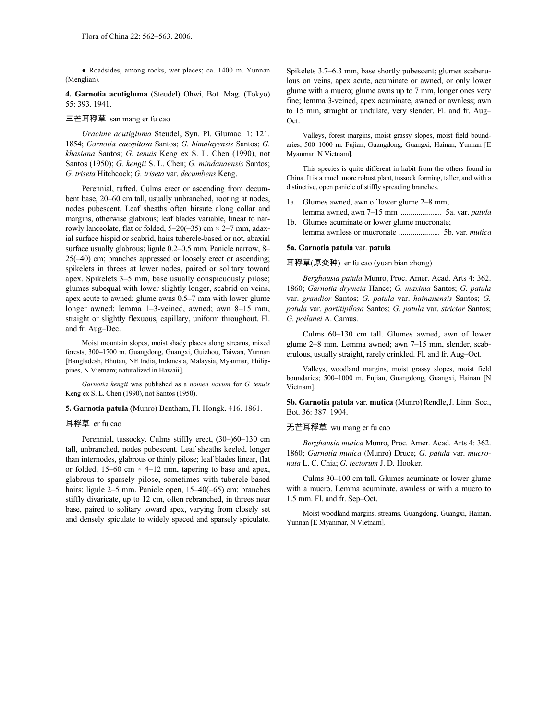● Roadsides, among rocks, wet places; ca. 1400 m. Yunnan (Menglian).

**4. Garnotia acutigluma** (Steudel) Ohwi, Bot. Mag. (Tokyo) 55: 393. 1941.

## 三芒耳稃草 san mang er fu cao

*Urachne acutigluma* Steudel, Syn. Pl. Glumac. 1: 121. 1854; *Garnotia caespitosa* Santos; *G. himalayensis* Santos; *G. khasiana* Santos; *G. tenuis* Keng ex S. L. Chen (1990), not Santos (1950); *G. kengii* S. L. Chen; *G. mindanaensis* Santos; *G. triseta* Hitchcock; *G. triseta* var. *decumbens* Keng.

Perennial, tufted. Culms erect or ascending from decumbent base, 20–60 cm tall, usually unbranched, rooting at nodes, nodes pubescent. Leaf sheaths often hirsute along collar and margins, otherwise glabrous; leaf blades variable, linear to narrowly lanceolate, flat or folded,  $5-20(-35)$  cm  $\times$  2-7 mm, adaxial surface hispid or scabrid, hairs tubercle-based or not, abaxial surface usually glabrous; ligule 0.2–0.5 mm. Panicle narrow, 8– 25(–40) cm; branches appressed or loosely erect or ascending; spikelets in threes at lower nodes, paired or solitary toward apex. Spikelets 3–5 mm, base usually conspicuously pilose; glumes subequal with lower slightly longer, scabrid on veins, apex acute to awned; glume awns 0.5–7 mm with lower glume longer awned; lemma 1–3-veined, awned; awn 8–15 mm, straight or slightly flexuous, capillary, uniform throughout. Fl. and fr. Aug–Dec.

Moist mountain slopes, moist shady places along streams, mixed forests; 300–1700 m. Guangdong, Guangxi, Guizhou, Taiwan, Yunnan [Bangladesh, Bhutan, NE India, Indonesia, Malaysia, Myanmar, Philippines, N Vietnam; naturalized in Hawaii].

*Garnotia kengii* was published as a *nomen novum* for *G. tenuis* Keng ex S. L. Chen (1990), not Santos (1950).

### **5. Garnotia patula** (Munro) Bentham, Fl. Hongk. 416. 1861.

#### 耳稃草 er fu cao

Perennial, tussocky. Culms stiffly erect, (30–)60–130 cm tall, unbranched, nodes pubescent. Leaf sheaths keeled, longer than internodes, glabrous or thinly pilose; leaf blades linear, flat or folded, 15–60 cm  $\times$  4–12 mm, tapering to base and apex, glabrous to sparsely pilose, sometimes with tubercle-based hairs; ligule 2–5 mm. Panicle open, 15–40(–65) cm; branches stiffly divaricate, up to 12 cm, often rebranched, in threes near base, paired to solitary toward apex, varying from closely set and densely spiculate to widely spaced and sparsely spiculate.

Spikelets 3.7–6.3 mm, base shortly pubescent; glumes scaberulous on veins, apex acute, acuminate or awned, or only lower glume with a mucro; glume awns up to 7 mm, longer ones very fine; lemma 3-veined, apex acuminate, awned or awnless; awn to 15 mm, straight or undulate, very slender. Fl. and fr. Aug– Oct.

Valleys, forest margins, moist grassy slopes, moist field boundaries; 500–1000 m. Fujian, Guangdong, Guangxi, Hainan, Yunnan [E Myanmar, N Vietnam].

This species is quite different in habit from the others found in China. It is a much more robust plant, tussock forming, taller, and with a distinctive, open panicle of stiffly spreading branches.

- 1a. Glumes awned, awn of lower glume 2–8 mm; lemma awned, awn 7–15 mm ..................... 5a. var. *patula*
- 1b. Glumes acuminate or lower glume mucronate; lemma awnless or mucronate ..................... 5b. var. *mutica*

#### **5a. Garnotia patula** var. **patula**

## 耳稃草(原变种) er fu cao (yuan bian zhong)

*Berghausia patula* Munro, Proc. Amer. Acad. Arts 4: 362. 1860; *Garnotia drymeia* Hance; *G. maxima* Santos; *G. patula* var. *grandior* Santos; *G. patula* var. *hainanensis* Santos; *G. patula* var. *partitipilosa* Santos; *G. patula* var. *strictor* Santos; *G. poilanei* A. Camus.

Culms 60–130 cm tall. Glumes awned, awn of lower glume 2–8 mm. Lemma awned; awn 7–15 mm, slender, scaberulous, usually straight, rarely crinkled. Fl. and fr. Aug–Oct.

Valleys, woodland margins, moist grassy slopes, moist field boundaries; 500–1000 m. Fujian, Guangdong, Guangxi, Hainan [N Vietnam].

**5b. Garnotia patula** var. **mutica** (Munro)Rendle,J. Linn. Soc., Bot. 36: 387. 1904.

### 无芒耳稃草 wu mang er fu cao

*Berghausia mutica* Munro, Proc. Amer. Acad. Arts 4: 362. 1860; *Garnotia mutica* (Munro) Druce; *G. patula* var. *mucronata* L. C. Chia; *G. tectorum* J. D. Hooker.

Culms 30–100 cm tall. Glumes acuminate or lower glume with a mucro. Lemma acuminate, awnless or with a mucro to 1.5 mm. Fl. and fr. Sep–Oct.

Moist woodland margins, streams. Guangdong, Guangxi, Hainan, Yunnan [E Myanmar, N Vietnam].